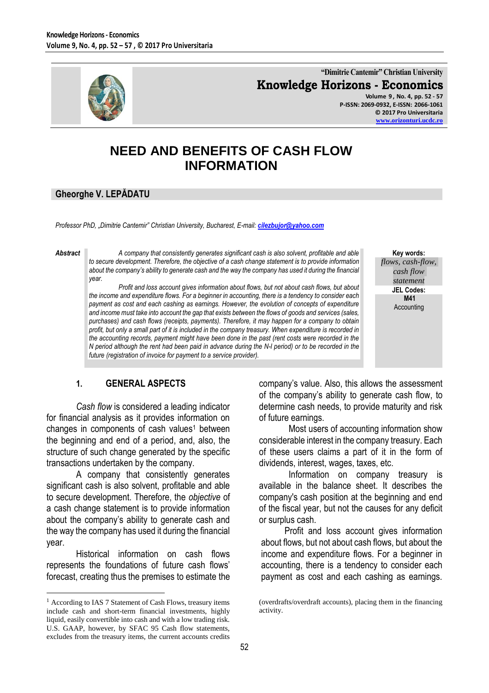

**"Dimitrie Cantemir" Christian University Knowledge Horizons - Economics Volume 9 , No. 4, pp. 52 - 57**

**P-ISSN: 2069-0932, E-ISSN: 2066-1061 © 2017 Pro Universitaria [www.orizonturi.ucdc.ro](http://www.orizonturi.ucdc.ro/)**

# **NEED AND BENEFITS OF CASH FLOW INFORMATION**

### **Gheorghe V. LEPĂDATU**

*Professor PhD, "Dimitrie Cantemir" Christian University, Bucharest, E-mail: [cilezbujor@yahoo.com](mailto:cilezbujor@yahoo.com)*

 $\overline{a}$ 

*Abstract A company that consistently generates significant cash is also solvent, profitable and able to secure development. Therefore, the objective of a cash change statement is to provide information about the company's ability to generate cash and the way the company has used it during the financial year.*

> *Profit and loss account gives information about flows, but not about cash flows, but about the income and expenditure flows. For a beginner in accounting, there is a tendency to consider each payment as cost and each cashing as earnings. However, the evolution of concepts of expenditure and income must take into account the gap that exists between the flows of goods and services (sales, purchases) and cash flows (receipts, payments). Therefore, it may happen for a company to obtain profit, but only a small part of it is included in the company treasury. When expenditure is recorded in the accounting records, payment might have been done in the past (rent costs were recorded in the N period although the rent had been paid in advance during the N-l period) or to be recorded in the future (registration of invoice for payment to a service provider).*

**Key words:**

*flows, cash-flow, cash flow statement* **JEL Codes: M41** Accounting

### **1. GENERAL ASPECTS**

*Cash flow* is considered a leading indicator for financial analysis as it provides information on changes in components of cash values<sup>1</sup> between the beginning and end of a period, and, also, the structure of such change generated by the specific transactions undertaken by the company.

A company that consistently generates significant cash is also solvent, profitable and able to secure development. Therefore, the *objective* of a cash change statement is to provide information about the company's ability to generate cash and the way the company has used it during the financial year.

Historical information on cash flows represents the foundations of future cash flows' forecast, creating thus the premises to estimate the company's value. Also, this allows the assessment of the company's ability to generate cash flow, to determine cash needs, to provide maturity and risk of future earnings.

Most users of accounting information show considerable interest in the company treasury. Each of these users claims a part of it in the form of dividends, interest, wages, taxes, etc.

Information on company treasury is available in the balance sheet. It describes the company's cash position at the beginning and end of the fiscal year, but not the causes for any deficit or surplus cash.

Profit and loss account gives information about flows, but not about cash flows, but about the income and expenditure flows. For a beginner in accounting, there is a tendency to consider each payment as cost and each cashing as earnings.

<sup>&</sup>lt;sup>1</sup> According to IAS 7 Statement of Cash Flows, treasury items include cash and short-term financial investments, highly liquid, easily convertible into cash and with a low trading risk. U.S. GAAP, however, by SFAC 95 Cash flow statements, excludes from the treasury items, the current accounts credits

<sup>(</sup>overdrafts/overdraft accounts), placing them in the financing activity.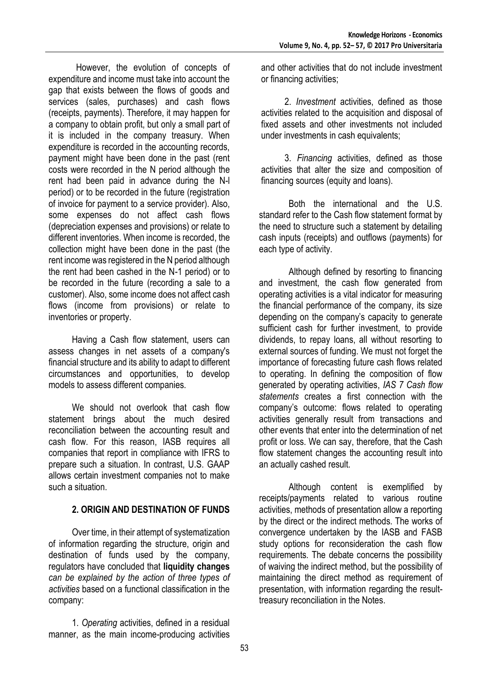However, the evolution of concepts of expenditure and income must take into account the gap that exists between the flows of goods and services (sales, purchases) and cash flows (receipts, payments). Therefore, it may happen for a company to obtain profit, but only a small part of it is included in the company treasury. When expenditure is recorded in the accounting records, payment might have been done in the past (rent costs were recorded in the N period although the rent had been paid in advance during the N-l period) or to be recorded in the future (registration of invoice for payment to a service provider). Also, some expenses do not affect cash flows (depreciation expenses and provisions) or relate to different inventories. When income is recorded, the collection might have been done in the past (the rent income was registered in the N period although the rent had been cashed in the N-1 period) or to be recorded in the future (recording a sale to a customer). Also, some income does not affect cash flows (income from provisions) or relate to inventories or property.

Having a Cash flow statement, users can assess changes in net assets of a company's financial structure and its ability to adapt to different circumstances and opportunities, to develop models to assess different companies.

We should not overlook that cash flow statement brings about the much desired reconciliation between the accounting result and cash flow. For this reason, IASB requires all companies that report in compliance with IFRS to prepare such a situation. In contrast, U.S. GAAP allows certain investment companies not to make such a situation.

# **2. ORIGIN AND DESTINATION OF FUNDS**

Over time, in their attempt of systematization of information regarding the structure, origin and destination of funds used by the company, regulators have concluded that **liquidity changes** *can be explained by the action of three types of activities* based on a functional classification in the company:

1. *Operating* activities, defined in a residual manner, as the main income-producing activities and other activities that do not include investment or financing activities;

2. *Investment* activities, defined as those activities related to the acquisition and disposal of fixed assets and other investments not included under investments in cash equivalents;

3. *Financing* activities, defined as those activities that alter the size and composition of financing sources (equity and loans).

Both the international and the U.S. standard refer to the Cash flow statement format by the need to structure such a statement by detailing cash inputs (receipts) and outflows (payments) for each type of activity.

Although defined by resorting to financing and investment, the cash flow generated from operating activities is a vital indicator for measuring the financial performance of the company, its size depending on the company's capacity to generate sufficient cash for further investment, to provide dividends, to repay loans, all without resorting to external sources of funding. We must not forget the importance of forecasting future cash flows related to operating. In defining the composition of flow generated by operating activities, *IAS 7 Cash flow statements* creates a first connection with the company's outcome: flows related to operating activities generally result from transactions and other events that enter into the determination of net profit or loss. We can say, therefore, that the Cash flow statement changes the accounting result into an actually cashed result.

Although content is exemplified by receipts/payments related to various routine activities, methods of presentation allow a reporting by the direct or the indirect methods. The works of convergence undertaken by the IASB and FASB study options for reconsideration the cash flow requirements. The debate concerns the possibility of waiving the indirect method, but the possibility of maintaining the direct method as requirement of presentation, with information regarding the resulttreasury reconciliation in the Notes.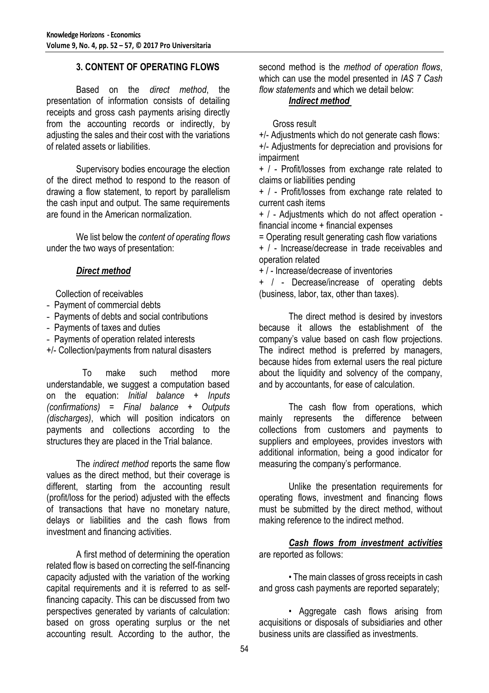### **3. CONTENT OF OPERATING FLOWS**

Based on the *direct method*, the presentation of information consists of detailing receipts and gross cash payments arising directly from the accounting records or indirectly, by adjusting the sales and their cost with the variations of related assets or liabilities.

Supervisory bodies encourage the election of the direct method to respond to the reason of drawing a flow statement, to report by parallelism the cash input and output. The same requirements are found in the American normalization.

We list below the *content of operating flows* under the two ways of presentation:

#### *Direct method*

Collection of receivables

- Payment of commercial debts
- Payments of debts and social contributions
- Payments of taxes and duties
- Payments of operation related interests
- +/- Collection/payments from natural disasters

To make such method more understandable, we suggest a computation based on the equation: *Initial balance + Inputs (confirmations) = Final balance + Outputs (discharges)*, which will position indicators on payments and collections according to the structures they are placed in the Trial balance.

The *indirect method* reports the same flow values as the direct method, but their coverage is different, starting from the accounting result (profit/loss for the period) adjusted with the effects of transactions that have no monetary nature, delays or liabilities and the cash flows from investment and financing activities.

A first method of determining the operation related flow is based on correcting the self-financing capacity adjusted with the variation of the working capital requirements and it is referred to as selffinancing capacity. This can be discussed from two perspectives generated by variants of calculation: based on gross operating surplus or the net accounting result. According to the author, the

second method is the *method of operation flows*, which can use the model presented in *IAS 7 Cash flow statements* and which we detail below:

#### *Indirect method*

Gross result

+/- Adjustments which do not generate cash flows: +/- Adjustments for depreciation and provisions for impairment

+ / - Profit/losses from exchange rate related to claims or liabilities pending

+ / - Profit/losses from exchange rate related to current cash items

+ / - Adjustments which do not affect operation financial income + financial expenses

= Operating result generating cash flow variations

+ / - Increase/decrease in trade receivables and operation related

+ / - Increase/decrease of inventories

+ / - Decrease/increase of operating debts (business, labor, tax, other than taxes).

The direct method is desired by investors because it allows the establishment of the company's value based on cash flow projections. The indirect method is preferred by managers, because hides from external users the real picture about the liquidity and solvency of the company, and by accountants, for ease of calculation.

The cash flow from operations, which mainly represents the difference between collections from customers and payments to suppliers and employees, provides investors with additional information, being a good indicator for measuring the company's performance.

Unlike the presentation requirements for operating flows, investment and financing flows must be submitted by the direct method, without making reference to the indirect method.

*Cash flows from investment activities* are reported as follows:

• The main classes of gross receipts in cash and gross cash payments are reported separately;

• Aggregate cash flows arising from acquisitions or disposals of subsidiaries and other business units are classified as investments.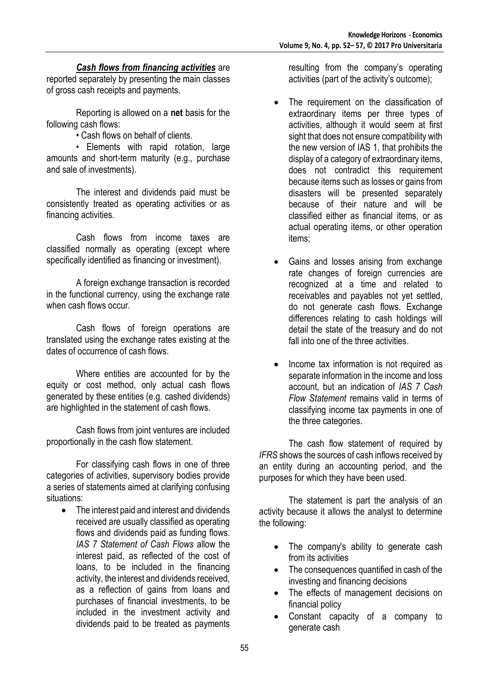#### *Cash flows from financing activities* are

reported separately by presenting the main classes of gross cash receipts and payments.

Reporting is allowed on a **net** basis for the following cash flows:

• Cash flows on behalf of clients.

• Elements with rapid rotation, large amounts and short-term maturity (e.g., purchase and sale of investments).

The interest and dividends paid must be consistently treated as operating activities or as financing activities.

Cash flows from income taxes are classified normally as operating (except where specifically identified as financing or investment).

A foreign exchange transaction is recorded in the functional currency, using the exchange rate when cash flows occur.

Cash flows of foreign operations are translated using the exchange rates existing at the dates of occurrence of cash flows.

Where entities are accounted for by the equity or cost method, only actual cash flows generated by these entities (e.g. cashed dividends) are highlighted in the statement of cash flows.

Cash flows from joint ventures are included proportionally in the cash flow statement.

For classifying cash flows in one of three categories of activities, supervisory bodies provide a series of statements aimed at clarifying confusing situations:

• The interest paid and interest and dividends received are usually classified as operating flows and dividends paid as funding flows. *IAS 7 Statement of Cash Flows* allow the interest paid, as reflected of the cost of loans, to be included in the financing activity, the interest and dividends received, as a reflection of gains from loans and purchases of financial investments, to be included in the investment activity and dividends paid to be treated as payments

resulting from the company's operating activities (part of the activity's outcome);

- The requirement on the classification of extraordinary items per three types of activities, although it would seem at first sight that does not ensure compatibility with the new version of IAS 1, that prohibits the display of a category of extraordinary items, does not contradict this requirement because items such as losses or gains from disasters will be presented separately because of their nature and will be classified either as financial items, or as actual operating items, or other operation items;
- Gains and losses arising from exchange rate changes of foreign currencies are recognized at a time and related to receivables and payables not yet settled, do not generate cash flows. Exchange differences relating to cash holdings will detail the state of the treasury and do not fall into one of the three activities.
- Income tax information is not required as separate information in the income and loss account, but an indication of *IAS 7 Cash Flow Statement* remains valid in terms of classifying income tax payments in one of the three categories.

The cash flow statement of required by *IFRS* shows the sources of cash inflows received by an entity during an accounting period, and the purposes for which they have been used.

The statement is part the analysis of an activity because it allows the analyst to determine the following:

- The company's ability to generate cash from its activities
- The consequences quantified in cash of the investing and financing decisions
- The effects of management decisions on financial policy
- Constant capacity of a company to generate cash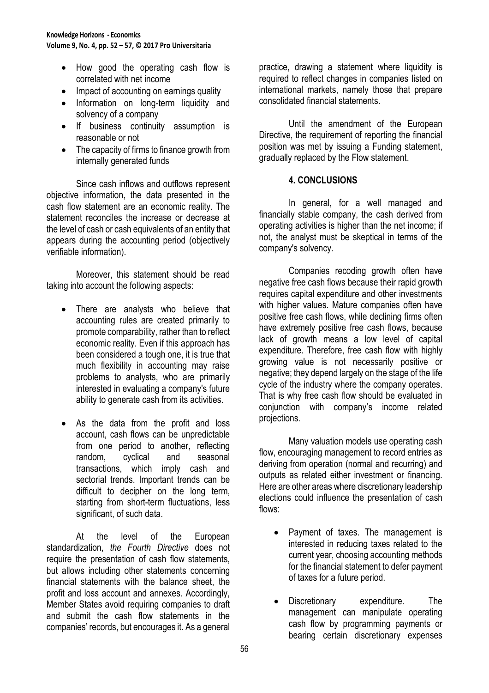- How good the operating cash flow is correlated with net income
- Impact of accounting on earnings quality
- Information on long-term liquidity and solvency of a company
- If business continuity assumption is reasonable or not
- The capacity of firms to finance growth from internally generated funds

Since cash inflows and outflows represent objective information, the data presented in the cash flow statement are an economic reality. The statement reconciles the increase or decrease at the level of cash or cash equivalents of an entity that appears during the accounting period (objectively verifiable information).

Moreover, this statement should be read taking into account the following aspects:

- There are analysts who believe that accounting rules are created primarily to promote comparability, rather than to reflect economic reality. Even if this approach has been considered a tough one, it is true that much flexibility in accounting may raise problems to analysts, who are primarily interested in evaluating a company's future ability to generate cash from its activities.
- As the data from the profit and loss account, cash flows can be unpredictable from one period to another, reflecting random, cyclical and seasonal transactions, which imply cash and sectorial trends. Important trends can be difficult to decipher on the long term, starting from short-term fluctuations, less significant, of such data.

At the level of the European standardization, *the Fourth Directive* does not require the presentation of cash flow statements, but allows including other statements concerning financial statements with the balance sheet, the profit and loss account and annexes. Accordingly, Member States avoid requiring companies to draft and submit the cash flow statements in the companies' records, but encourages it. As a general

practice, drawing a statement where liquidity is required to reflect changes in companies listed on international markets, namely those that prepare consolidated financial statements.

Until the amendment of the European Directive, the requirement of reporting the financial position was met by issuing a Funding statement, gradually replaced by the Flow statement.

## **4. CONCLUSIONS**

In general, for a well managed and financially stable company, the cash derived from operating activities is higher than the net income; if not, the analyst must be skeptical in terms of the company's solvency.

Companies recoding growth often have negative free cash flows because their rapid growth requires capital expenditure and other investments with higher values. Mature companies often have positive free cash flows, while declining firms often have extremely positive free cash flows, because lack of growth means a low level of capital expenditure. Therefore, free cash flow with highly growing value is not necessarily positive or negative; they depend largely on the stage of the life cycle of the industry where the company operates. That is why free cash flow should be evaluated in conjunction with company's income related projections.

Many valuation models use operating cash flow, encouraging management to record entries as deriving from operation (normal and recurring) and outputs as related either investment or financing. Here are other areas where discretionary leadership elections could influence the presentation of cash flows:

- Payment of taxes. The management is interested in reducing taxes related to the current year, choosing accounting methods for the financial statement to defer payment of taxes for a future period.
- Discretionary expenditure. The management can manipulate operating cash flow by programming payments or bearing certain discretionary expenses